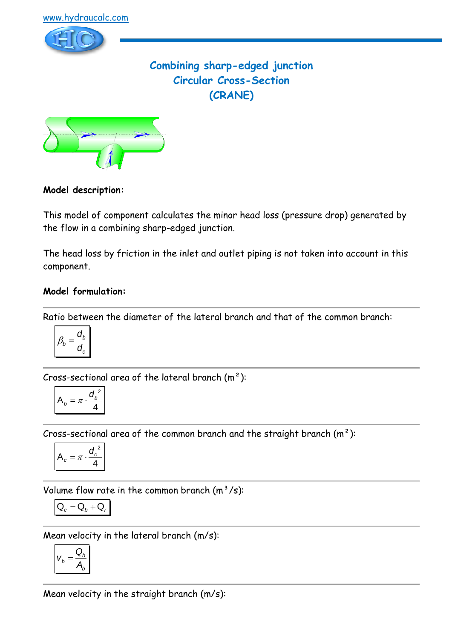

# **Combining sharp-edged junction Circular Cross-Section (CRANE)**



## **Model description:**

This model of component calculates the minor head loss (pressure drop) generated by the flow in a combining sharp-edged junction.

The head loss by friction in the inlet and outlet piping is not taken into account in this component.

### **Model formulation:**

Ratio between the diameter of the lateral branch and that of the common branch:

$$
\beta_b = \frac{d_b}{d_c}
$$

Cross-sectional area of the lateral branch  $(m<sup>2</sup>)$ :

$$
A_b = \pi \cdot \frac{{\bf d}_b^{\; 2}}{4}
$$

Cross-sectional area of the common branch and the straight branch  $(m<sup>2</sup>)$ :

$$
A_c = \pi \cdot \frac{d_c^2}{4}
$$

Volume flow rate in the common branch  $(m^3/s)$ :

$$
\boxed{\mathsf{Q}_{c}=\mathsf{Q}_{b}+\mathsf{Q}_{r}}
$$

Mean velocity in the lateral branch (m/s):

$$
V_b = \frac{Q_b}{A_b}
$$

Mean velocity in the straight branch (m/s):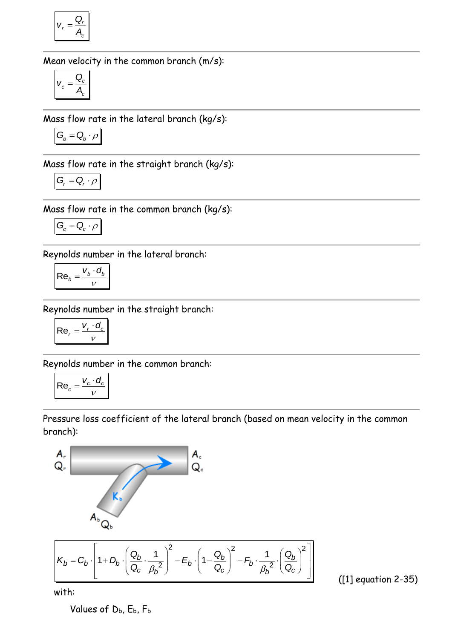$$
V_r = \frac{Q_r}{A_c}
$$

Mean velocity in the common branch (m/s):

$$
V_c = \frac{Q_c}{A_c}
$$

Mass flow rate in the lateral branch (kg/s):

$$
\mathbf{G}_b = \mathbf{Q}_b \cdot \boldsymbol{\rho}
$$

Mass flow rate in the straight branch (kg/s):

$$
G_r = Q_r \cdot \rho
$$

Mass flow rate in the common branch (kg/s):

$$
\mathbf{G}_{c}=\mathbf{Q}_{c}\cdot\rho
$$

Reynolds number in the lateral branch:

$$
\mathsf{Re}_b = \frac{v_b \cdot d_b}{v}
$$

Reynolds number in the straight branch:

$$
\mathsf{Re}_r = \frac{V_r \cdot d_c}{V}
$$

Reynolds number in the common branch:

$$
\mathsf{Re}_c = \frac{v_c \cdot d_c}{v}
$$

Pressure loss coefficient of the lateral branch (based on mean velocity in the common branch):

$$
\frac{A_{c}}{Q_{c}}
$$
\n
$$
A_{b}Q_{b}
$$
\n
$$
K_{b} = C_{b} \cdot \left[1 + D_{b} \cdot \left(\frac{Q_{b}}{Q_{c}} \cdot \frac{1}{\beta_{b}^{2}}\right)^{2} - E_{b} \cdot \left(1 - \frac{Q_{b}}{Q_{c}}\right)^{2} - F_{b} \cdot \frac{1}{\beta_{b}^{2}} \cdot \left(\frac{Q_{b}}{Q_{c}}\right)^{2}\right]
$$
\n
$$
(1
$$

([1] equation 2-35)

with:

Values of D<sub>b</sub>, E<sub>b</sub>, F<sub>b</sub>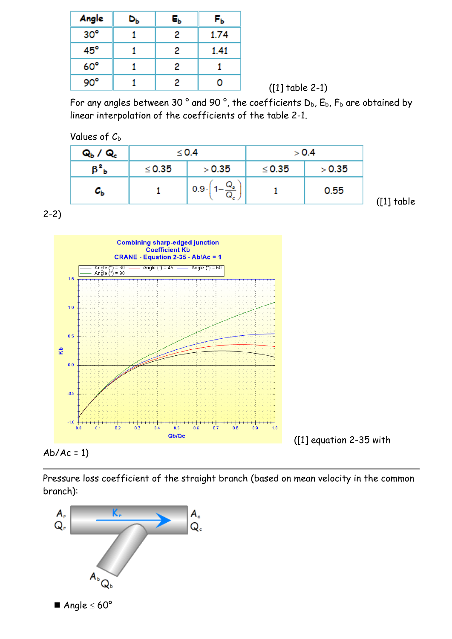| Angle        | Dь | E, | Fь   |
|--------------|----|----|------|
| $30^{\circ}$ |    | 2  | 1.74 |
| $45^{\circ}$ |    | 2  | 1.41 |
| $60^\circ$   |    | 2  |      |
| 90°          |    | 2  | O    |

([1] table 2-1)

For any angles between 30 $^{\circ}$  and 90 $^{\circ}$ , the coefficients  $D_{b}$ ,  $E_{b}$ ,  $F_{b}$  are obtained by linear interpolation of the coefficients of the table 2-1.

| Values of $C_{\rm b}$ |  |  |
|-----------------------|--|--|
|-----------------------|--|--|

| Q <sub>b</sub> / Q <sub>c</sub> |             | $\leq$ 0.4               |             | > 0.4  |
|---------------------------------|-------------|--------------------------|-------------|--------|
| βª                              | $\leq$ 0.35 | > 0.35                   | $\leq$ 0.35 | > 0.35 |
|                                 |             | Q,<br>$0.9 -$<br>$Q_{c}$ |             | 0.55   |

2-2)



Pressure loss coefficient of the straight branch (based on mean velocity in the common branch):

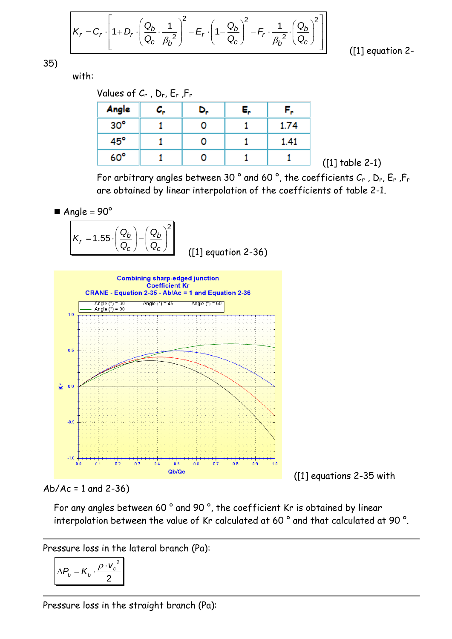$$
K_r = C_r \cdot \left[ 1 + D_r \cdot \left( \frac{Q_b}{Q_c} \cdot \frac{1}{\beta_b^2} \right)^2 - E_r \cdot \left( 1 - \frac{Q_b}{Q_c} \right)^2 - F_r \cdot \frac{1}{\beta_b^2} \cdot \left( \frac{Q_b}{Q_c} \right)^2 \right]
$$
(11)

([1] equation 2-

35)

with:

| Values of $C_r$ , $D_r$ , $E_r$ , $F_r$ |    |    |      |
|-----------------------------------------|----|----|------|
| Angle                                   | с. | Е, | F.   |
| $30^\circ$                              |    |    | 1.74 |
| $45^{\circ}$                            |    |    | 1.41 |
| $60^\circ$                              |    |    |      |

([1] table 2-1)

For arbitrary angles between 30 $^{\circ}$  and 60 $^{\circ}$ , the coefficients  $C_r$ ,  $D_r$ ,  $E_r$ ,  $F_r$ are obtained by linear interpolation of the coefficients of table 2-1.

$$
= \text{Angle} = 90^{\circ}
$$

$$
K_r = 1.55 \cdot \left(\frac{Q_b}{Q_c}\right) - \left(\frac{Q_b}{Q_c}\right)^2 \tag{11}
$$

([1] equation 2-36)



 $Ab/Ac = 1$  and 2-36)

For any angles between 60 ° and 90 °, the coefficient Kr is obtained by linear interpolation between the value of Kr calculated at 60 ° and that calculated at 90 °.

Pressure loss in the lateral branch (Pa):

2  $\mathbf{r}_b = \mathbf{r}_b \cdot \mathbf{r}_2$ *c*  $\Delta P_b = K_b \cdot \frac{\rho \cdot \nu}{\rho}$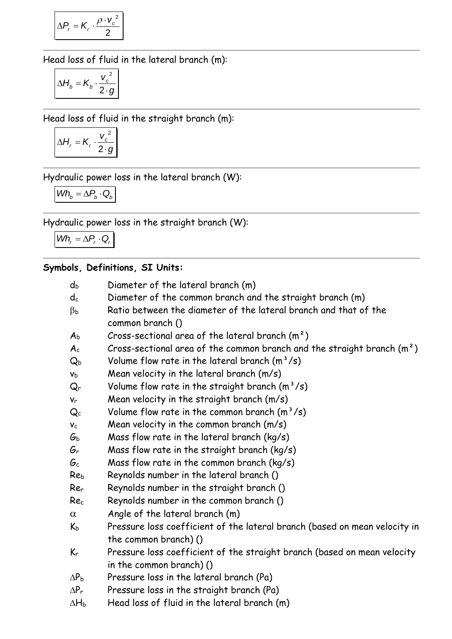$$
\Delta P_r = K_r \cdot \frac{\rho \cdot v_c^2}{2}
$$

Head loss of fluid in the lateral branch (m):

$$
\Delta H_b = K_b \cdot \frac{v_c^2}{2 \cdot g}
$$

Head loss of fluid in the straight branch (m):

$$
\Delta H_r = K_r \cdot \frac{v_c^2}{2 \cdot g}
$$

Hydraulic power loss in the lateral branch (W):

$$
Wh_b = \Delta P_b \cdot Q_b
$$

Hydraulic power loss in the straight branch (W):

 $Wh_r = \Delta P_r \cdot Q_r$ 

#### **Symbols, Definitions, SI Units:**

| $d_{b}$                   | Diameter of the lateral branch (m)                                         |
|---------------------------|----------------------------------------------------------------------------|
| $d_c$                     | Diameter of the common branch and the straight branch (m)                  |
| $\beta_{\sf b}$           | Ratio between the diameter of the lateral branch and that of the           |
|                           | common branch ()                                                           |
| A <sub>b</sub>            | Cross-sectional area of the lateral branch $(m2)$                          |
| $A_c$                     | Cross-sectional area of the common branch and the straight branch $(m^2)$  |
| $Q_b$                     | Volume flow rate in the lateral branch $(m^3/s)$                           |
| <b>Vb</b>                 | Mean velocity in the lateral branch (m/s)                                  |
| $Q_{r}$                   | Volume flow rate in the straight branch $(m^3/s)$                          |
| $\mathsf{V}_\Gamma$       | Mean velocity in the straight branch (m/s)                                 |
| $\mathsf{Q}_{\mathsf{c}}$ | Volume flow rate in the common branch $(m^3/s)$                            |
| $V_c$                     | Mean velocity in the common branch $(m/s)$                                 |
| $G_{b}$                   | Mass flow rate in the lateral branch ( $kg/s$ )                            |
| $G_r$                     | Mass flow rate in the straight branch (kg/s)                               |
| $G_c$                     | Mass flow rate in the common branch $(kq/s)$                               |
| Reb                       | Reynolds number in the lateral branch ()                                   |
| Re <sub>r</sub>           | Reynolds number in the straight branch ()                                  |
| Rec                       | Reynolds number in the common branch ()                                    |
| $\alpha$                  | Angle of the lateral branch (m)                                            |
| $K_{b}$                   | Pressure loss coefficient of the lateral branch (based on mean velocity in |
|                           | the common branch) ()                                                      |
| $K_r$                     | Pressure loss coefficient of the straight branch (based on mean velocity   |
|                           | in the common branch) ()                                                   |
| $\Delta P_{b}$            | Pressure loss in the lateral branch (Pa)                                   |
| $\Delta P_r$              | Pressure loss in the straight branch (Pa)                                  |
| $\Delta H_b$              | Head loss of fluid in the lateral branch (m)                               |